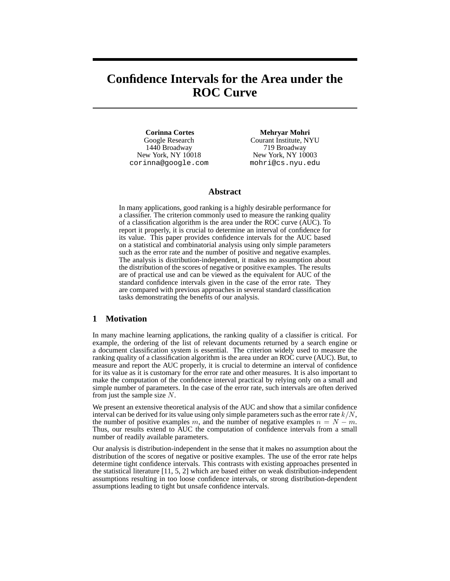# **Confidence Intervals for the Area under the ROC Curve**

**Corinna Cortes** Google Research 1440 Broadway New York, NY 10018 corinna@google.com

**Mehryar Mohri** Courant Institute, NYU 719 Broadway New York, NY 10003 mohri@cs.nyu.edu

### **Abstract**

In many applications, good ranking is a highly desirable performance for a classifier. The criterion commonly used to measure the ranking quality of a classification algorithm is the area under the ROC curve (AUC). To report it properly, it is crucial to determine an interval of confidence for its value. This paper provides confidence intervals for the AUC based on a statistical and combinatorial analysis using only simple parameters such as the error rate and the number of positive and negative examples. The analysis is distribution-independent, it makes no assumption about the distribution of the scores of negative or positive examples. The results are of practical use and can be viewed as the equivalent for AUC of the standard confidence intervals given in the case of the error rate. They are compared with previous approaches in several standard classification tasks demonstrating the benefits of our analysis.

# **1 Motivation**

In many machine learning applications, the ranking quality of a classifier is critical. For example, the ordering of the list of relevant documents returned by a search engine or a document classification system is essential. The criterion widely used to measure the ranking quality of a classification algorithm is the area under an ROC curve (AUC). But, to measure and report the AUC properly, it is crucial to determine an interval of confidence for its value as it is customary for the error rate and other measures. It is also important to make the computation of the confidence interval practical by relying only on a small and simple number of parameters. In the case of the error rate, such intervals are often derived from just the sample size  $N$ .

We present an extensive theoretical analysis of the AUC and show that a similar confidence interval can be derived for its value using only simple parameters such as the error rate  $k/N$ , the number of positive examples m, and the number of negative examples  $n = N - m$ . Thus, our results extend to AUC the computation of confidence intervals from a small number of readily available parameters.

Our analysis is distribution-independent in the sense that it makes no assumption about the distribution of the scores of negative or positive examples. The use of the error rate helps determine tight confidence intervals. This contrasts with existing approaches presented in the statistical literature [11, 5, 2] which are based either on weak distribution-independent assumptions resulting in too loose confidence intervals, or strong distribution-dependent assumptions leading to tight but unsafe confidence intervals.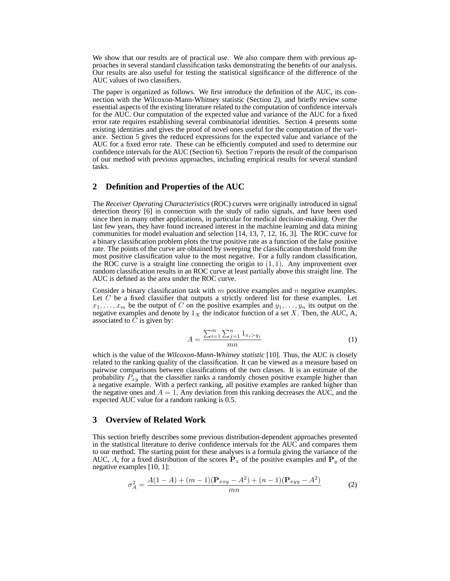We show that our results are of practical use. We also compare them with previous approaches in several standard classification tasks demonstrating the benefits of our analysis. Our results are also useful for testing the statistical significance of the difference of the AUC values of two classifiers.

The paper is organized as follows. We first introduce the definition of the AUC, its connection with the Wilcoxon-Mann-Whitney statistic (Section 2), and briefly review some essential aspects of the existing literature related to the computation of confidence intervals for the AUC. Our computation of the expected value and variance of the AUC for a fixed error rate requires establishing several combinatorial identities. Section 4 presents some existing identities and gives the proof of novel ones useful for the computation of the variance. Section 5 gives the reduced expressions for the expected value and variance of the AUC for a fixed error rate. These can be efficiently computed and used to determine our confidence intervals for the AUC (Section 6). Section 7 reports the result of the comparison of our method with previous approaches, including empirical results for several standard tasks.

## **2 Definition and Properties of the AUC**

The *Receiver Operating Characteristics* (ROC) curves were originally introduced in signal detection theory [6] in connection with the study of radio signals, and have been used since then in many other applications, in particular for medical decision-making. Over the last few years, they have found increased interest in the machine learning and data mining communities for model evaluation and selection [14, 13, 7, 12, 16, 3]. The ROC curve for a binary classification problem plots the true positive rate as a function of the false positive rate. The points of the curve are obtained by sweeping the classification threshold from the most positive classification value to the most negative. For a fully random classification, the ROC curve is a straight line connecting the origin to  $(1, 1)$ . Any improvement over random classification results in an ROC curve at least partially above this straight line. The AUC is defined as the area under the ROC curve.

Consider a binary classification task with  $m$  positive examples and  $n$  negative examples. Let  $C$  be a fixed classifier that outputs a strictly ordered list for these examples. Let  $x_1, \ldots, x_m$  be the output of C on the positive examples and  $y_1, \ldots, y_n$  its output on the negative examples and denote by  $1_X$  the indicator function of a set X. Then, the AUC, A, associated to  $C$  is given by:

$$
A = \frac{\sum_{i=1}^{m} \sum_{j=1}^{n} 1_{x_i > y_j}}{mn}
$$
 (1)

which is the value of the *Wilcoxon-Mann-Whitney statistic* [10]. Thus, the AUC is closely related to the ranking quality of the classification. It can be viewed as a measure based on pairwise comparisons between classifications of the two classes. It is an estimate of the probability  $P_{xy}$  that the classifier ranks a randomly chosen positive example higher than a negative example. With a perfect ranking, all positive examples are ranked higher than the negative ones and  $A = 1$ . Any deviation from this ranking decreases the AUC, and the expected AUC value for a random ranking is 0.5.

#### **3 Overview of Related Work**

This section briefly describes some previous distribution-dependent approaches presented in the statistical literature to derive confidence intervals for the AUC and compares them to our method. The starting point for these analyses is a formula giving the variance of the AUC, A, for a fixed distribution of the scores  $\dot{\mathbf{P}}_x$  of the positive examples and  $\mathbf{P}_y$  of the negative examples [10, 1]:

$$
\sigma_A^2 = \frac{A(1-A) + (m-1)(\mathbf{P}_{xxy} - A^2) + (n-1)(\mathbf{P}_{xyy} - A^2)}{mn}
$$
 (2)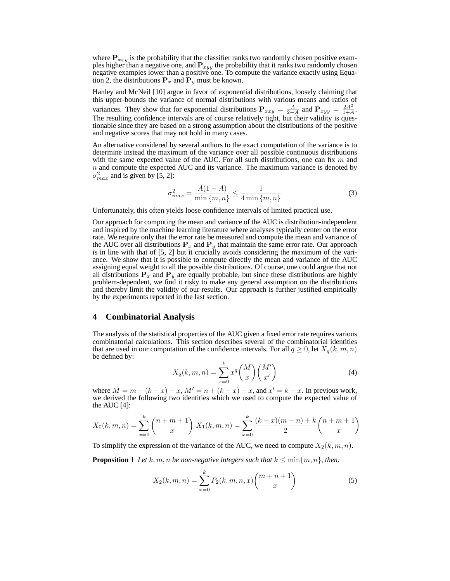where  $P_{xxy}$  is the probability that the classifier ranks two randomly chosen positive examples higher than a negative one, and  $P_{xyy}$  the probability that it ranks two randomly chosen negative examples lower than a positive one. To compute the variance exactly using Equation 2, the distributions  $P_x$  and  $P_y$  must be known.

Hanley and McNeil [10] argue in favor of exponential distributions, loosely claiming that this upper-bounds the variance of normal distributions with various means and ratios of variances. They show that for exponential distributions  $P_{xxy} = \frac{A}{2-A}$  and  $P_{xyy} = \frac{2A^2}{1+A}$  $\frac{2A^2}{1+A}$ . The resulting confidence intervals are of course relatively tight, but their validity is questionable since they are based on a strong assumption about the distributions of the positive and negative scores that may not hold in many cases.

An alternative considered by several authors to the exact computation of the variance is to determine instead the maximum of the variance over all possible continuous distributions with the same expected value of the AUC. For all such distributions, one can fix  $m$  and  $n$  and compute the expected AUC and its variance. The maximum variance is denoted by  $\sigma_{max}^2$  and is given by [5, 2]:

$$
\sigma_{max}^2 = \frac{A(1-A)}{\min\{m,n\}} \le \frac{1}{4\min\{m,n\}}\tag{3}
$$

Unfortunately, this often yields loose confidence intervals of limited practical use.

Our approach for computing the mean and variance of the AUC is distribution-independent and inspired by the machine learning literature where analyses typically center on the error rate. We require only that the error rate be measured and compute the mean and variance of the AUC over all distributions  $P_x$  and  $P_y$  that maintain the same error rate. Our approach is in line with that of [5, 2] but it crucially avoids considering the maximum of the variance. We show that it is possible to compute directly the mean and variance of the AUC assigning equal weight to all the possible distributions. Of course, one could argue that not all distributions  $P_x$  and  $P_y$  are equally probable, but since these distributions are highly problem-dependent, we find it risky to make any general assumption on the distributions and thereby limit the validity of our results. Our approach is further justified empirically by the experiments reported in the last section.

#### **4 Combinatorial Analysis**

The analysis of the statistical properties of the AUC given a fixed error rate requires various combinatorial calculations. This section describes several of the combinatorial identities that are used in our computation of the confidence intervals. For all  $q \ge 0$ , let  $X_q(k, m, n)$ be defined by:

$$
X_q(k,m,n) = \sum_{x=0}^k x^q \binom{M}{x} \binom{M'}{x'}
$$
 (4)

where  $M = m - (k - x) + x$ ,  $M' = n + (k - x) - x$ , and  $x' = k - x$ . In previous work, we derived the following two identities which we used to compute the expected value of the AUC [4]:

$$
X_0(k, m, n) = \sum_{x=0}^k {n+m+1 \choose x} X_1(k, m, n) = \sum_{x=0}^k \frac{(k-x)(m-n) + k}{2} {n+m+1 \choose x}
$$

To simplify the expression of the variance of the AUC, we need to compute  $X_2(k, m, n)$ .

**Proposition 1** *Let*  $k, m, n$  *be non-negative integers such that*  $k \leq \min\{m, n\}$ *, then:* 

$$
X_2(k, m, n) = \sum_{x=0}^{k} P_2(k, m, n, x) {m+n+1 \choose x}
$$
 (5)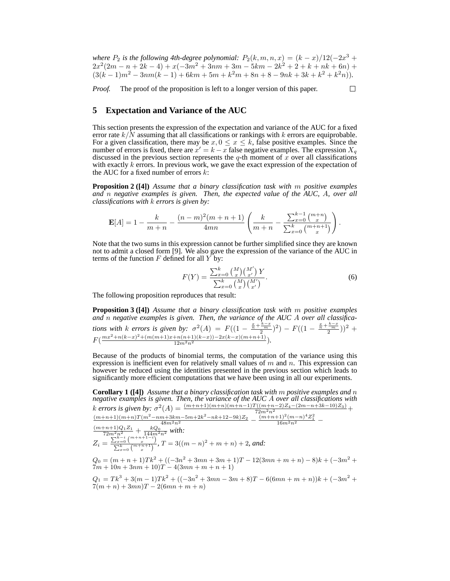*where*  $P_2$  *is the following 4th-degree polynomial:*  $P_2(k, m, n, x) = (k - x)/12(-2x^3 + 3x^2)$  $2x^2(2m-n+2k-4)+x(-3m^2+3nm+3m-5km-2k^2+2+k+nk+6n)$  $(3(k-1)m^2 - 3nm(k-1) + 6km + 5m + k^2m + 8n + 8 - 9nk + 3k + k^2 + k^2n)).$ 

*Proof.* The proof of the proposition is left to a longer version of this paper.

□

# **5 Expectation and Variance of the AUC**

This section presents the expression of the expectation and variance of the AUC for a fixed error rate  $k/N$  assuming that all classifications or rankings with k errors are equiprobable. For a given classification, there may be  $x, 0 \le x \le k$ , false positive examples. Since the number of errors is fixed, there are  $x' = k - x$  false negative examples. The expression  $X_q$ discussed in the previous section represents the  $q$ -th moment of  $\bar{x}$  over all classifications with exactly  $k$  errors. In previous work, we gave the exact expression of the expectation of the AUC for a fixed number of errors  $k$ :

**Proposition 2 ([4])** *Assume that a binary classification task with* m *positive examples and* n *negative examples is given. Then, the expected value of the AUC,* A*, over all classifications with* k *errors is given by:*

$$
\mathbf{E}[A] = 1 - \frac{k}{m+n} - \frac{(n-m)^2(m+n+1)}{4mn} \left( \frac{k}{m+n} - \frac{\sum_{x=0}^{k-1} {m+n \choose x}}{\sum_{x=0}^{k} {m+n+1 \choose x}} \right).
$$

Note that the two sums in this expression cannot be further simplified since they are known not to admit a closed form [9]. We also gave the expression of the variance of the AUC in terms of the function  $F$  defined for all  $\overline{Y}$  by:

$$
F(Y) = \frac{\sum_{x=0}^{k} {M \choose x} {M' \choose x'}}{\sum_{x=0}^{k} {M \choose x} {M' \choose x'}}.
$$
\n(6)

The following proposition reproduces that result:

**Proposition 3 ([4])** *Assume that a binary classification task with* m *positive examples and* n *negative examples is given. Then, the variance of the AUC* A *over all classifications with k errors is given by:*  $\sigma^2(A) = F((1 - \frac{\frac{x}{n} + \frac{k-x}{2}}{2})^2) - F((1 - \frac{\frac{x}{n} + \frac{k-x}{2}}{2}))^2 +$  $F(\frac{mx^2+n(k-x)^2+(m(m+1)x+n(n+1)(k-x))-2x(k-x)(m+n+1)}{12m^2n^2}).$ 

Because of the products of binomial terms, the computation of the variance using this expression is inefficient even for relatively small values of  $m$  and  $n$ . This expression can however be reduced using the identities presented in the previous section which leads to significantly more efficient computations that we have been using in all our experiments.

**Corollary 1 ([4])** *Assume that a binary classification task with* m *positive examples and* n *negative examples is given. Then, the variance of the AUC* A *over all classifications with* k errors is given by:  $\sigma^2(A) = \frac{(m+n+1)(m+n)(m+n-1)T((m+n-2)Z_4-(2m-n+3k-10)Z_3)}{72m^2n^2} +$ 

$$
Z_{i} = \frac{\frac{(m+n+1)(m+n)T(m^{2}-nm+3km-5m+2k^{2}-nk+12-9k)Z_{2}}{48m^{2}n^{2}} - \frac{\frac{(m+n+1)^{2}(m-n)^{4}Z_{1}^{2}}{16m^{2}n^{2}}}{16m^{2}n^{2}} - \frac{\frac{(m+n+1)Q_{1}Z_{1}}{72m^{2}n^{2}} + \frac{kQ_{0}}{144m^{2}n^{2}} \text{ with:}
$$
\n
$$
Z_{i} = \frac{\sum_{x=0}^{k-i} \binom{m+n+1-i}{x}}{\sum_{x=0}^{k-i} \binom{m+n+1}{x}}, \quad T = 3((m-n)^{2}+m+n)+2, \text{ and:}
$$

 $Q_0 = (m+n+1)Tk^2 + ((-3n^2+3mn+3m+1)T - 12(3mn+m+n) - 8)k + (-3m^2+$  $7m + 10n + 3nm + 10$  $T - 4(3mn + m + n + 1)$ 

 $Q_1 = Tk^3 + 3(m-1)Tk^2 + ((-3n^2 + 3mn - 3m + 8)T - 6(6mn + m + n))k + (-3m^2 +$  $7(m+n) + 3mn)T - 2(6mn + m + n)$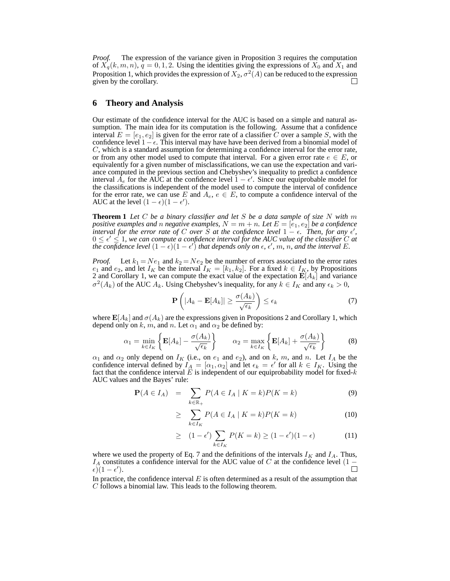*Proof.* The expression of the variance given in Proposition 3 requires the computation of  $X_q(k, m, n)$ ,  $q = 0, 1, 2$ . Using the identities giving the expressions of  $X_0$  and  $X_1$  and Proposition 1, which provides the expression of  $X_2, \sigma^2(A)$  can be reduced to the expression given by the corollary.

## **6 Theory and Analysis**

Our estimate of the confidence interval for the AUC is based on a simple and natural assumption. The main idea for its computation is the following. Assume that a confidence interval  $E = [e_1, e_2]$  is given for the error rate of a classifier C over a sample S, with the confidence level  $1-\epsilon$ . This interval may have have been derived from a binomial model of  $C$ , which is a standard assumption for determining a confidence interval for the error rate, or from any other model used to compute that interval. For a given error rate  $e \in E$ , or equivalently for a given number of misclassifications, we can use the expectation and variance computed in the previous section and Chebyshev's inequality to predict a confidence interval  $A_e$  for the AUC at the confidence level  $1 - \epsilon'$ . Since our equiprobable model for the classifications is independent of the model used to compute the interval of confidence for the error rate, we can use E and  $A_e, e \in E$ , to compute a confidence interval of the AUC at the level  $(1 - \epsilon)(1 - \epsilon')$ .

**Theorem 1** *Let* C *be a binary classifier and let* S *be a data sample of size* N *with* m *positive examples and n negative examples,*  $N = m + n$ . Let  $E = [e_1, e_2]$  be a confidence *interval for the error rate of* C *over* S *at the confidence level*  $1 - \epsilon$ . Then, for any  $\epsilon'$ ,  $0 \leq \epsilon' \leq 1$ , we can compute a confidence interval for the AUC value of the classifier C at *the confidence level*  $(1 - \epsilon)(1 - \epsilon')$  *that depends only on*  $\epsilon$ *,*  $\epsilon'$ *, m, n, and the interval E.* 

*Proof.* Let  $k_1 = Ne_1$  and  $k_2 = Ne_2$  be the number of errors associated to the error rates  $e_1$  and  $e_2$ , and let  $I_K$  be the interval  $I_K = [k_1, k_2]$ . For a fixed  $k \in I_K$ , by Propositions 2 and Corollary 1, we can compute the exact value of the expectation  $\mathbf{E}[A_k]$  and variance  $\sigma^2(A_k)$  of the AUC  $A_k$ . Using Chebyshev's inequality, for any  $k \in I_K$  and any  $\epsilon_k > 0$ ,

$$
\mathbf{P}\left(|A_k - \mathbf{E}[A_k]| \ge \frac{\sigma(A_k)}{\sqrt{\epsilon_k}}\right) \le \epsilon_k \tag{7}
$$

where  $\mathbf{E}[A_k]$  and  $\sigma(A_k)$  are the expressions given in Propositions 2 and Corollary 1, which depend only on k, m, and n. Let  $\alpha_1$  and  $\alpha_2$  be defined by:

$$
\alpha_1 = \min_{k \in I_K} \left\{ \mathbf{E}[A_k] - \frac{\sigma(A_k)}{\sqrt{\epsilon_k}} \right\} \qquad \alpha_2 = \max_{k \in I_K} \left\{ \mathbf{E}[A_k] + \frac{\sigma(A_k)}{\sqrt{\epsilon_k}} \right\} \tag{8}
$$

 $\alpha_1$  and  $\alpha_2$  only depend on  $I_K$  (i.e., on  $e_1$  and  $e_2$ ), and on k, m, and n. Let  $I_A$  be the confidence interval defined by  $I_A = [\alpha_1, \alpha_2]$  and let  $\epsilon_k = \epsilon'$  for all  $k \in I_K$ . Using the fact that the confidence interval  $E$  is independent of our equiprobability model for fixed- $k$ AUC values and the Bayes' rule:

$$
\mathbf{P}(A \in I_A) = \sum_{k \in \mathbb{R}_+} P(A \in I_A \mid K = k) P(K = k)
$$
\n(9)

$$
\geq \sum_{k \in I_K} P(A \in I_A \mid K = k) P(K = k) \tag{10}
$$

$$
\geq (1 - \epsilon') \sum_{k \in I_K} P(K = k) \geq (1 - \epsilon')(1 - \epsilon) \tag{11}
$$

where we used the property of Eq. 7 and the definitions of the intervals  $I_K$  and  $I_A$ . Thus,  $I_A$  constitutes a confidence interval for the AUC value of C at the confidence level (1 –  $(\epsilon)(1-\epsilon').$ 

In practice, the confidence interval  $E$  is often determined as a result of the assumption that C follows a binomial law. This leads to the following theorem.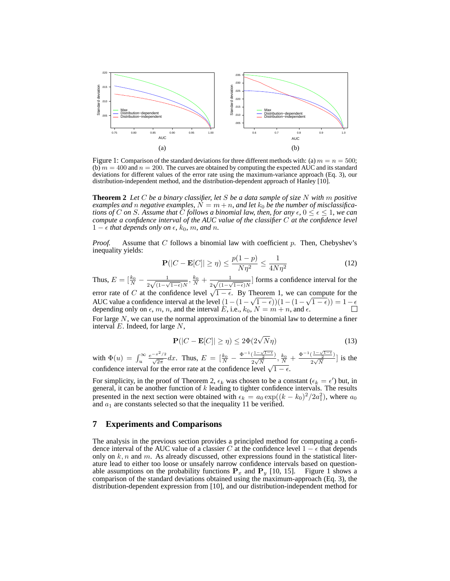

Figure 1: Comparison of the standard deviations for three different methods with: (a)  $m = n = 500$ ; (b)  $m = 400$  and  $n = 200$ . The curves are obtained by computing the expected AUC and its standard deviations for different values of the error rate using the maximum-variance approach (Eq. 3), our distribution-independent method, and the distribution-dependent approach of Hanley [10].

**Theorem 2** *Let* C *be a binary classifier, let* S *be a data sample of size* N *with* m *positive examples and n negative examples,*  $N = m + n$ *, and let*  $k_0$  *be the number of misclassifica*tions of C on S. Assume that C follows a binomial law, then, for any  $\epsilon$ ,  $0 \leq \epsilon \leq 1$ , we can<br>compute a confidence interval of the AUC value of the classifier C at the confidence level 1 −  $\epsilon$  *that depends only on*  $\epsilon$ *, k*<sub>0</sub>*, m, and n.* 

*Proof.* Assume that C follows a binomial law with coefficient p. Then, Chebyshev's inequality yields:

$$
\mathbf{P}(|C - \mathbf{E}[C]| \ge \eta) \le \frac{p(1 - p)}{N\eta^2} \le \frac{1}{4N\eta^2}
$$
 (12)

Thus,  $E = \left[\frac{k_0}{N} - \frac{1}{2\sqrt{(1-\lambda)}}\right]$  $\frac{1}{2\sqrt{(1-\sqrt{1-\epsilon})N}}, \frac{k_0}{N}+\frac{1}{2\sqrt{(1-\sqrt{1-\epsilon})N}}$  $\frac{1}{2\sqrt{(1-\sqrt{1-\epsilon})N}}$  forms a confidence interval for the error rate of C at the confidence level  $\sqrt{1-\epsilon}$ . By Theorem 1, we can compute for the

AUC value a confidence interval at the level  $(1 - (1 - \sqrt{1 - \epsilon}))(1 - (1 - \sqrt{1 - \epsilon})) = 1 - \epsilon$ <br>depending only on  $\epsilon$ , m, n, and the interval E, i.e.,  $k_0$ ,  $N = m + n$ , and  $\epsilon$ . For large  $N$ , we can use the normal approximation of the binomial law to determine a finer

interval  $E$ . Indeed, for large  $N$ ,

$$
\mathbf{P}(|C - \mathbf{E}[C]| \ge \eta) \le 2\Phi(2\sqrt{N}\eta)
$$
\n(13)

with  $\Phi(u) = \int_u^{\infty} \frac{e^{-x^2/2}}{\sqrt{2\pi}}$  $\frac{-x^2/2}{\sqrt{2\pi}}dx$ . Thus,  $E = \frac{k_0}{N} - \frac{\Phi^{-1}(\frac{1-\sqrt{1-\epsilon}}{2})}{2\sqrt{N}}$  $\frac{\left(\frac{1-\sqrt{1-\epsilon}}{2}\right)}{2\sqrt{N}},\frac{k_0}{N}+\frac{\Phi^{-1}(\frac{1-\sqrt{1-\epsilon}}{2})}{2\sqrt{N}}$  $\frac{2}{2\sqrt{N}}$ ] is the confidence interval for the error rate at the confidence level  $\sqrt{1 - \epsilon}$ .

For simplicity, in the proof of Theorem 2,  $\epsilon_k$  was chosen to be a constant ( $\epsilon_k = \epsilon'$ ) but, in general, it can be another function of  $k$  leading to tighter confidence intervals. The results presented in the next section were obtained with  $\epsilon_k = a_0 \exp((k - k_0)^2/2a_1^2)$ , where  $a_0$ and  $a_1$  are constants selected so that the inequality 11 be verified.

## **7 Experiments and Comparisons**

The analysis in the previous section provides a principled method for computing a confidence interval of the AUC value of a classier C at the confidence level  $1 - \epsilon$  that depends only on  $k, n$  and m. As already discussed, other expressions found in the statistical literature lead to either too loose or unsafely narrow confidence intervals based on questionable assumptions on the probability functions  $P_x$  and  $P_y$  [10, 15]. Figure 1 shows a comparison of the standard deviations obtained using the maximum-approach (Eq. 3), the distribution-dependent expression from [10], and our distribution-independent method for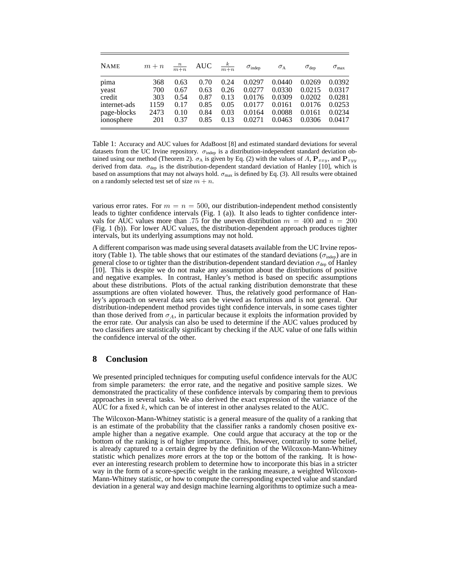| <b>NAME</b>  | $m + n$ | $\frac{n}{m+n}$ | AUC  | $\frac{k}{m+n}$ | $\sigma_{\text{indep}}$ | $\sigma_{\rm A}$ | $\sigma_{\rm dep}$ | $\sigma_{\rm max}$ |
|--------------|---------|-----------------|------|-----------------|-------------------------|------------------|--------------------|--------------------|
| pima         | 368     | 0.63            | 0.70 | 0.24            | 0.0297                  | 0.0440           | 0.0269             | 0.0392             |
| yeast        | 700     | 0.67            | 0.63 | 0.26            | 0.0277                  | 0.0330           | 0.0215             | 0.0317             |
| credit       | 303     | 0.54            | 0.87 | 0.13            | 0.0176                  | 0.0309           | 0.0202             | 0.0281             |
| internet-ads | 1159    | 0.17            | 0.85 | 0.05            | 0.0177                  | 0.0161           | 0.0176             | 0.0253             |
| page-blocks  | 2473    | 0.10            | 0.84 | 0.03            | 0.0164                  | 0.0088           | 0.0161             | 0.0234             |
| ionosphere   | 201     | 0.37            | 0.85 | 0.13            | 0.0271                  | 0.0463           | 0.0306             | 0.0417             |

Table 1: Accuracy and AUC values for AdaBoost [8] and estimated standard deviations for several datasets from the UC Irvine repository.  $\sigma_{\text{indep}}$  is a distribution-independent standard deviation obtained using our method (Theorem 2).  $\sigma_A$  is given by Eq. (2) with the values of A,  $P_{xxy}$ , and  $P_{xyy}$ derived from data.  $\sigma_{\text{dep}}$  is the distribution-dependent standard deviation of Hanley [10], which is based on assumptions that may not always hold.  $\sigma_{\text{max}}$  is defined by Eq. (3). All results were obtained on a randomly selected test set of size  $m + n$ .

various error rates. For  $m = n = 500$ , our distribution-independent method consistently leads to tighter confidence intervals (Fig. 1 (a)). It also leads to tighter confidence intervals for AUC values more than .75 for the uneven distribution  $m = 400$  and  $n = 200$ (Fig. 1 (b)). For lower AUC values, the distribution-dependent approach produces tighter intervals, but its underlying assumptions may not hold.

A different comparison was made using several datasets available from the UC Irvine repository (Table 1). The table shows that our estimates of the standard deviations ( $\sigma_{\text{indep}}$ ) are in general close to or tighter than the distribution-dependent standard deviation  $\sigma_{\text{dep}}$  of Hanley [10]. This is despite we do not make any assumption about the distributions of positive and negative examples. In contrast, Hanley's method is based on specific assumptions about these distributions. Plots of the actual ranking distribution demonstrate that these assumptions are often violated however. Thus, the relatively good performance of Hanley's approach on several data sets can be viewed as fortuitous and is not general. Our distribution-independent method provides tight confidence intervals, in some cases tighter than those derived from  $\sigma_A$ , in particular because it exploits the information provided by the error rate. Our analysis can also be used to determine if the AUC values produced by two classifiers are statistically significant by checking if the AUC value of one falls within the confidence interval of the other.

## **8 Conclusion**

We presented principled techniques for computing useful confidence intervals for the AUC from simple parameters: the error rate, and the negative and positive sample sizes. We demonstrated the practicality of these confidence intervals by comparing them to previous approaches in several tasks. We also derived the exact expression of the variance of the AUC for a fixed  $k$ , which can be of interest in other analyses related to the AUC.

The Wilcoxon-Mann-Whitney statistic is a general measure of the quality of a ranking that is an estimate of the probability that the classifier ranks a randomly chosen positive example higher than a negative example. One could argue that accuracy at the top or the bottom of the ranking is of higher importance. This, however, contrarily to some belief, is already captured to a certain degree by the definition of the Wilcoxon-Mann-Whitney statistic which penalizes *more* errors at the top or the bottom of the ranking. It is however an interesting research problem to determine how to incorporate this bias in a stricter way in the form of a score-specific weight in the ranking measure, a weighted Wilcoxon-Mann-Whitney statistic, or how to compute the corresponding expected value and standard deviation in a general way and design machine learning algorithms to optimize such a mea